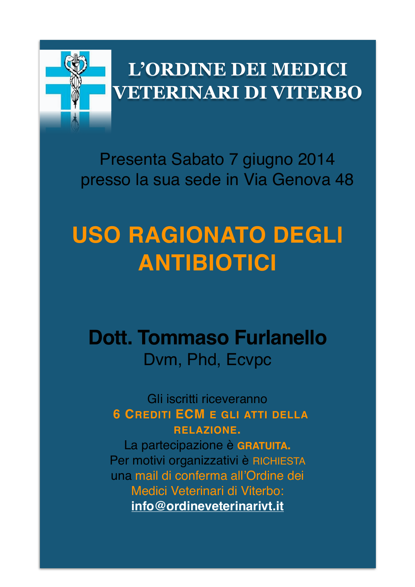

# **L'ORDINE DEI MEDICI VETERINARI DI VITERBO**

Presenta Sabato 7 giugno 2014 presso la sua sede in Via Genova 48

# **USO RAGIONATO DEGLI ANTIBIOTICI**

# **Dott. Tommaso Furlanello** Dvm, Phd, Ecvpc

Gli iscritti riceveranno **6 CREDITI ECM E GLI ATTI DELLA RELAZIONE.**

La partecipazione è **GRATUITA.** Per motivi organizzativi è RICHIESTA una mail di conferma all'Ordine dei Medici Veterinari di Viterbo: **info@ordineveterinarivt.it**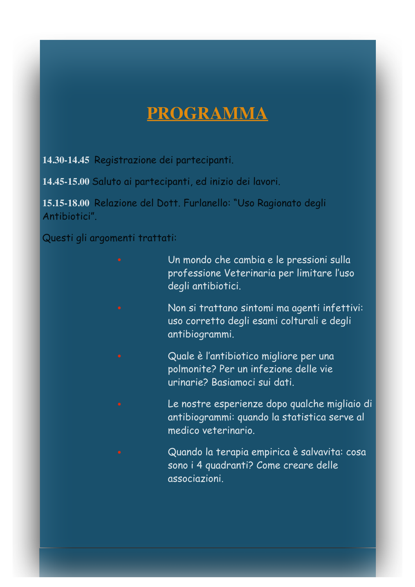#### **PROGRAMMA**

**14.30-14.45** Registrazione dei partecipanti.

**14.45-15.00** Saluto ai partecipanti, ed inizio dei lavori.

**15.15-18.00** Relazione del Dott. Furlanello: "Uso Ragionato degli Antibiotici".

Questi gli argomenti trattati:

- Un mondo che cambia e le pressioni sulla professione Veterinaria per limitare l'uso degli antibiotici.
	- Non si trattano sintomi ma agenti infettivi: uso corretto degli esami colturali e degli antibiogrammi.
	- Quale è l'antibiotico migliore per una polmonite? Per un infezione delle vie urinarie? Basiamoci sui dati.
	- Le nostre esperienze dopo qualche migliaio di antibiogrammi: quando la statistica serve al medico veterinario.
	- Quando la terapia empirica è salvavita: cosa sono i 4 quadranti? Come creare delle associazioni.